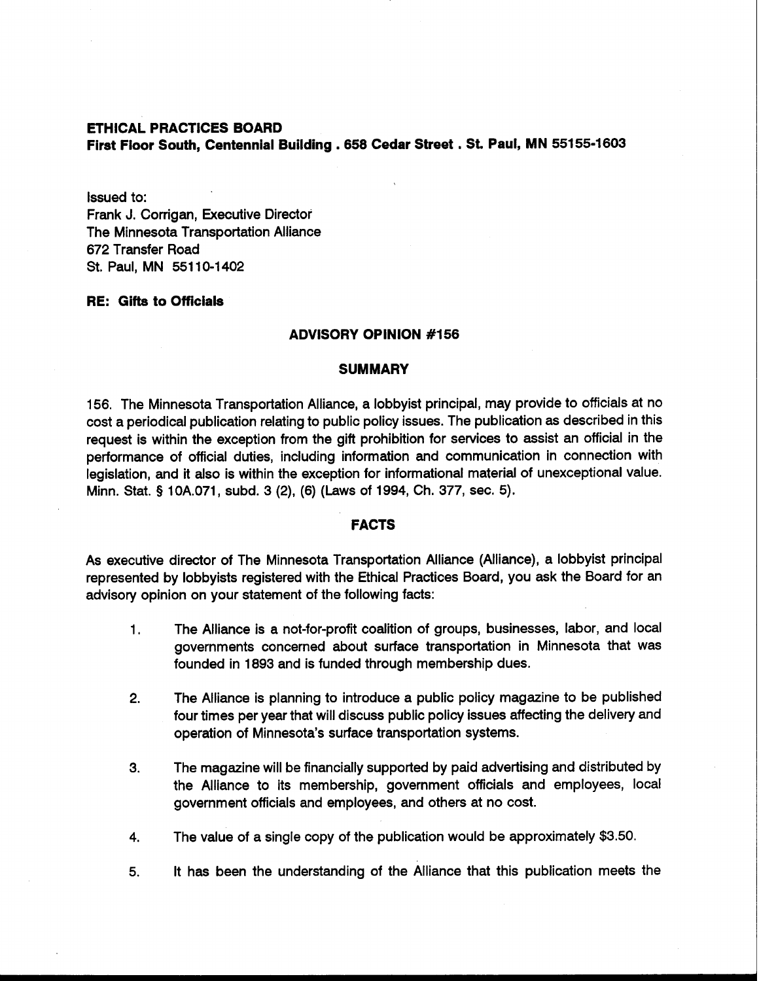# **ETHICAL PRACTICES BOARD First Floor South, Centennial Building** . **<sup>658</sup>Cedar Street** . **St. Paul, MN 55155-1603**

Issued to:

Frank J. Corrigan, Executive Director The Minnesota Transportation Alliance 672 Transfer Road St. Paul, MN 55110-1402

# **RE: Gifts to Officials**

#### **ADVISORY OPINION #I56**

### **SUMMARY**

156. The Minnesota Transportation Alliance, a lobbyist principal, may provide to officials at no cost a periodical publication relating to public policy issues. The publication as described in this request is within the exception from the gift prohibition for services to assist an official in the performance of official duties, including information and communication in connection with legislation, and it also is within the exception for informational material of unexceptional value. Minn. Stat. **9** 10A.071, subd. 3 (2), (6) (Laws of 1994, Ch. 377, sec. 5).

# **FACTS**

As executive director of The Minnesota Transportation Alliance (Alliance), a lobbyist principal represented by lobbyists registered with the Ethical Practices Board, you **ask** the Board for an advisory opinion on your statement of the following facts:

- 1. The Alliance is a not-for-profit coalition of groups, businesses, labor, and local governments concerned about surface transportation in Minnesota that was founded in 1893 and is funded through membership dues.
- **2.** The Alliance is planning to introduce a public policy magazine to be published four times per year that will discuss public policy issues affecting the delivery and operation of Minnesota's surface transportation systems.
- **3.** The magazine will be financially supported by paid advertising and distributed by the Alliance to its membership, government officials and employees, local government officials and employees, and others at no cost.
- **4.** The value of a single copy of the publication would be approximately \$3.50.
- 5. It has been the understanding of the Alliance that this publication meets the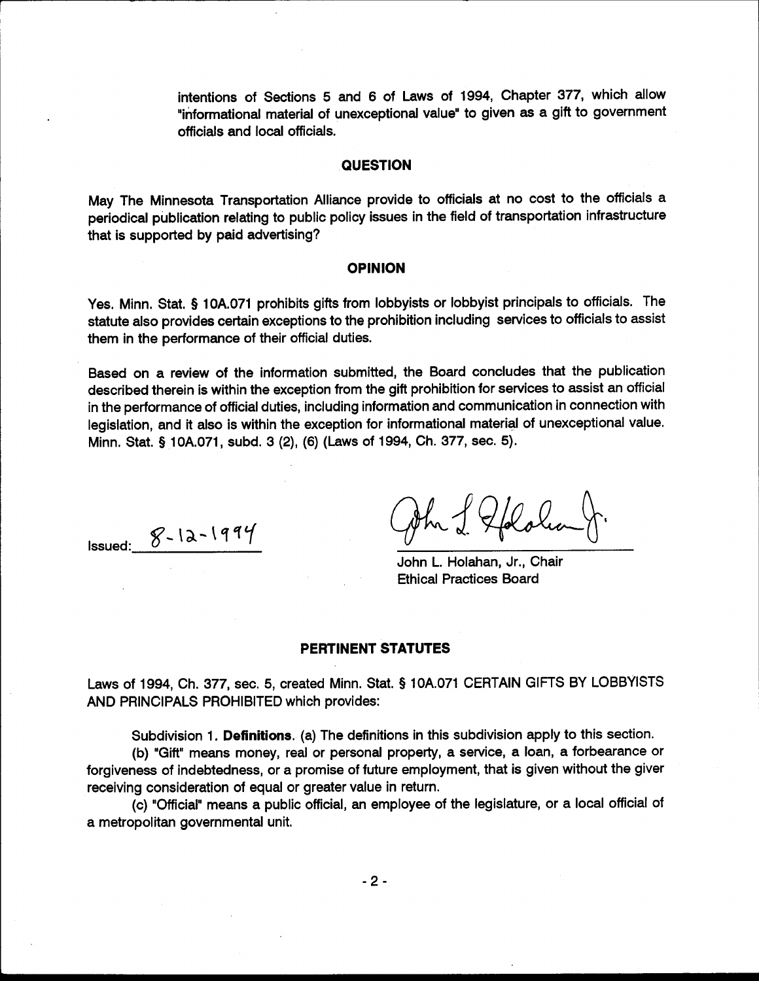intentions of Sections 5 and 6 of Laws of 1994, Chapter 377, which allow "informational material of unexceptional value" to given as a gift to government officials and local officials.

### **QUESTION**

May The Minnesota Transportation Alliance provide to officials at no cost to the officials a periodical publication relating to public policy issues in the field of transportation infrastructure that is supported by paid advertising?

## **OPINION**

Yes. Minn. Stat. § 10A.071 prohibits gifts from lobbyists or lobbyist principals to officials. The statute also provides certain exceptions to the prohibition including services to officials to assist them in the performance of their official duties.

Based on a review of the information submitted, the Board concludes that the publication described therein is within the exception from the gift prohibition for services to assist an official in the performance of official duties, including information and communication in connection with legislation, and it also is within the exception for informational material of unexceptional value. Minn. Stat. § 10A.071, subd. 3 (2), (6) (Laws of 1994, Ch. 377, sec. 5).

Issued:  $8 - 12 - 1994$ 

Jhr J. Golden

John L. Holahan, Jr., Chair **Ethical Practices Board** 

#### **PERTINENT STATUTES**

Laws of 1994, Ch. 377, sec. 5, created Minn. Stat. § 10A.071 CERTAIN GIFTS BY LOBBYISTS AND PRINCIPALS PROHIBITED which provides:

Subdivision 1. Definitions. (a) The definitions in this subdivision apply to this section.

(b) "Gift" means money, real or personal property, a service, a loan, a forbearance or forgiveness of indebtedness, or a promise of future employment, that is given without the giver receiving consideration of equal or greater value in return.

(c) "Official" means a public official, an employee of the legislature, or a local official of a metropolitan governmental unit.